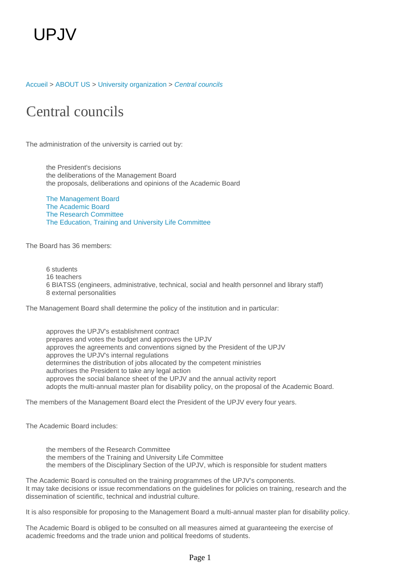[Accueil](https://welcome.u-picardie.fr/) > [ABOUT US](https://welcome.u-picardie.fr/about-us/) > [University organization](https://welcome.u-picardie.fr/about-us/university-organization/) > [Central councils](https://welcome.u-picardie.fr/about-us/university-organization/central-councils/)

## Central councils

The administration of the university is carried out by:

the President's decisions the deliberations of the Management Board the proposals, deliberations and opinions of the Academic Board

[The Management Board](#page-0-0) [The Academic Board](#page-0-1) [The Research Committee](#page-1-0) [The Education, Training and University Life Committee](#page-1-1)

<span id="page-0-0"></span>The Board has 36 members:

6 students 16 teachers 6 BIATSS (engineers, administrative, technical, social and health personnel and library staff) 8 external personalities

The Management Board shall determine the policy of the institution and in particular:

approves the UPJV's establishment contract prepares and votes the budget and approves the UPJV approves the agreements and conventions signed by the President of the UPJV approves the UPJV's internal regulations determines the distribution of jobs allocated by the competent ministries authorises the President to take any legal action approves the social balance sheet of the UPJV and the annual activity report adopts the multi-annual master plan for disability policy, on the proposal of the Academic Board.

The members of the Management Board elect the President of the UPJV every four years.

<span id="page-0-1"></span>The Academic Board includes:

the members of the Research Committee the members of the Training and University Life Committee the members of the Disciplinary Section of the UPJV, which is responsible for student matters

The Academic Board is consulted on the training programmes of the UPJV's components. It may take decisions or issue recommendations on the guidelines for policies on training, research and the dissemination of scientific, technical and industrial culture.

It is also responsible for proposing to the Management Board a multi-annual master plan for disability policy.

The Academic Board is obliged to be consulted on all measures aimed at guaranteeing the exercise of academic freedoms and the trade union and political freedoms of students.